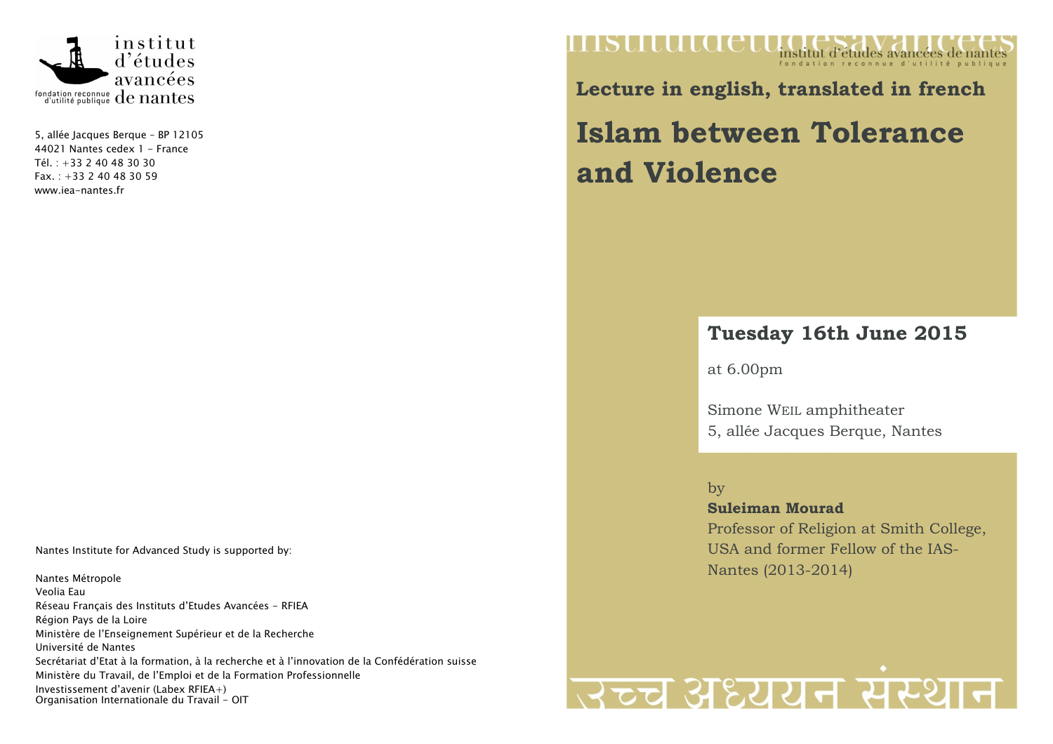

5, allée Jacques Berque – BP 12105 44021 Nantes cedex 1 - France Tél. : +33 2 40 48 30 30  $Fax. : +33240483059$ www.iea-nantes.fr

Nantes Institute for Advanced Study is supported by:

Nantes Métropole Veolia Eau Réseau Français des Instituts d'Etudes Avancées - RFIEA Région Pays de la Loire Ministère de l'Enseignement Supérieur et de la Recherche Université de Nantes Secrétariat d'Etat à la formation, à la recherche et à l'innovation de la Confédération suisse Ministère du Travail, de l'Emploi et de la Formation Professionnelle Investissement d'avenir (Labex RFIEA+) Organisation Internationale du Travail - OIT

### mstitutue institut d'études avancées de nantes

**Lecture in english, translated in french** 

# **Islam between Tolerance and Violence**

## **Tuesday 16th June 2015**

at 6.00pm

Simone WEIL amphitheater 5, allée Jacques Berque, Nantes

by

 **Suleiman Mourad** Professor of Religion at Smith College, USA and former Fellow of the IAS-Nantes (2013-2014)

# त्रच्च अध्ययन संस्थान